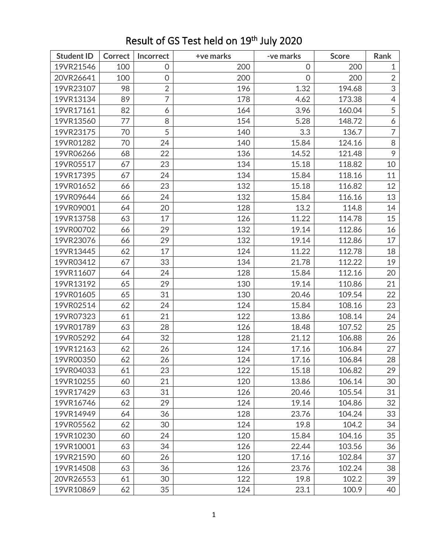| <b>Student ID</b> | <b>Correct</b> | Incorrect      | +ve marks | -ve marks           | <b>Score</b> | Rank           |
|-------------------|----------------|----------------|-----------|---------------------|--------------|----------------|
| 19VR21546         | 100            | 0              | 200       | $\mathsf{O}\xspace$ | 200          | $1\,$          |
| 20VR26641         | 100            | $\mathbf 0$    | 200       | $\overline{O}$      | 200          | $\overline{2}$ |
| 19VR23107         | 98             | $\overline{2}$ | 196       | 1.32                | 194.68       | 3              |
| 19VR13134         | 89             | $\overline{7}$ | 178       | 4.62                | 173.38       | $\overline{4}$ |
| 19VR17161         | 82             | 6              | 164       | 3.96                | 160.04       | $\overline{5}$ |
| 19VR13560         | 77             | 8              | 154       | 5.28                | 148.72       | 6              |
| 19VR23175         | 70             | 5              | 140       | 3.3                 | 136.7        | $\overline{7}$ |
| 19VR01282         | 70             | 24             | 140       | 15.84               | 124.16       | 8              |
| 19VR06266         | 68             | 22             | 136       | 14.52               | 121.48       | 9              |
| 19VR05517         | 67             | 23             | 134       | 15.18               | 118.82       | 10             |
| 19VR17395         | 67             | 24             | 134       | 15.84               | 118.16       | 11             |
| 19VR01652         | 66             | 23             | 132       | 15.18               | 116.82       | 12             |
| 19VR09644         | 66             | 24             | 132       | 15.84               | 116.16       | 13             |
| 19VR09001         | 64             | 20             | 128       | 13.2                | 114.8        | 14             |
| 19VR13758         | 63             | 17             | 126       | 11.22               | 114.78       | 15             |
| 19VR00702         | 66             | 29             | 132       | 19.14               | 112.86       | 16             |
| 19VR23076         | 66             | 29             | 132       | 19.14               | 112.86       | 17             |
| 19VR13445         | 62             | 17             | 124       | 11.22               | 112.78       | 18             |
| 19VR03412         | 67             | 33             | 134       | 21.78               | 112.22       | 19             |
| 19VR11607         | 64             | 24             | 128       | 15.84               | 112.16       | 20             |
| 19VR13192         | 65             | 29             | 130       | 19.14               | 110.86       | 21             |
| 19VR01605         | 65             | 31             | 130       | 20.46               | 109.54       | 22             |
| 19VR02514         | 62             | 24             | 124       | 15.84               | 108.16       | 23             |
| 19VR07323         | 61             | 21             | 122       | 13.86               | 108.14       | 24             |
| 19VR01789         | 63             | 28             | 126       | 18.48               | 107.52       | 25             |
| 19VR05292         | 64             | 32             | 128       | 21.12               | 106.88       | 26             |
| 19VR12163         | 62             | 26             | 124       | 17.16               | 106.84       | 27             |
| 19VR00350         | 62             | 26             | 124       | 17.16               | 106.84       | 28             |
| 19VR04033         | 61             | 23             | 122       | 15.18               | 106.82       | 29             |
| 19VR10255         | 60             | 21             | 120       | 13.86               | 106.14       | 30             |
| 19VR17429         | 63             | 31             | 126       | 20.46               | 105.54       | 31             |
| 19VR16746         | 62             | 29             | 124       | 19.14               | 104.86       | 32             |
| 19VR14949         | 64             | 36             | 128       | 23.76               | 104.24       | 33             |
| 19VR05562         | 62             | 30             | 124       | 19.8                | 104.2        | 34             |
| 19VR10230         | 60             | 24             | 120       | 15.84               | 104.16       | 35             |
| 19VR10001         | 63             | 34             | 126       | 22.44               | 103.56       | 36             |
| 19VR21590         | 60             | 26             | 120       | 17.16               | 102.84       | 37             |
| 19VR14508         | 63             | 36             | 126       | 23.76               | 102.24       | 38             |
| 20VR26553         | 61             | 30             | 122       | 19.8                | 102.2        | 39             |
| 19VR10869         | 62             | 35             | 124       | 23.1                | 100.9        | 40             |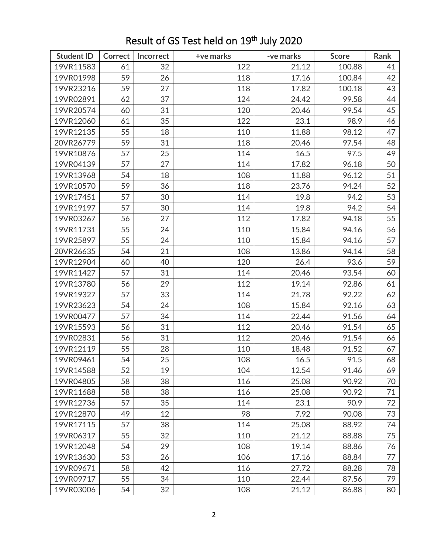| <b>Student ID</b> | <b>Correct</b> | Incorrect | +ve marks | -ve marks | <b>Score</b> | Rank |
|-------------------|----------------|-----------|-----------|-----------|--------------|------|
| 19VR11583         | 61             | 32        | 122       | 21.12     | 100.88       | 41   |
| 19VR01998         | 59             | 26        | 118       | 17.16     | 100.84       | 42   |
| 19VR23216         | 59             | 27        | 118       | 17.82     | 100.18       | 43   |
| 19VR02891         | 62             | 37        | 124       | 24.42     | 99.58        | 44   |
| 19VR20574         | 60             | 31        | 120       | 20.46     | 99.54        | 45   |
| 19VR12060         | 61             | 35        | 122       | 23.1      | 98.9         | 46   |
| 19VR12135         | 55             | 18        | 110       | 11.88     | 98.12        | 47   |
| 20VR26779         | 59             | 31        | 118       | 20.46     | 97.54        | 48   |
| 19VR10876         | 57             | 25        | 114       | 16.5      | 97.5         | 49   |
| 19VR04139         | 57             | 27        | 114       | 17.82     | 96.18        | 50   |
| 19VR13968         | 54             | 18        | 108       | 11.88     | 96.12        | 51   |
| 19VR10570         | 59             | 36        | 118       | 23.76     | 94.24        | 52   |
| 19VR17451         | 57             | 30        | 114       | 19.8      | 94.2         | 53   |
| 19VR19197         | 57             | 30        | 114       | 19.8      | 94.2         | 54   |
| 19VR03267         | 56             | 27        | 112       | 17.82     | 94.18        | 55   |
| 19VR11731         | 55             | 24        | 110       | 15.84     | 94.16        | 56   |
| 19VR25897         | 55             | 24        | 110       | 15.84     | 94.16        | 57   |
| 20VR26635         | 54             | 21        | 108       | 13.86     | 94.14        | 58   |
| 19VR12904         | 60             | 40        | 120       | 26.4      | 93.6         | 59   |
| 19VR11427         | 57             | 31        | 114       | 20.46     | 93.54        | 60   |
| 19VR13780         | 56             | 29        | 112       | 19.14     | 92.86        | 61   |
| 19VR19327         | 57             | 33        | 114       | 21.78     | 92.22        | 62   |
| 19VR23623         | 54             | 24        | 108       | 15.84     | 92.16        | 63   |
| 19VR00477         | 57             | 34        | 114       | 22.44     | 91.56        | 64   |
| 19VR15593         | 56             | 31        | 112       | 20.46     | 91.54        | 65   |
| 19VR02831         | 56             | 31        | 112       | 20.46     | 91.54        | 66   |
| 19VR12119         | 55             | 28        | 110       | 18.48     | 91.52        | 67   |
| 19VR09461         | 54             | 25        | 108       | 16.5      | 91.5         | 68   |
| 19VR14588         | 52             | 19        | 104       | 12.54     | 91.46        | 69   |
| 19VR04805         | 58             | 38        | 116       | 25.08     | 90.92        | 70   |
| 19VR11688         | 58             | 38        | 116       | 25.08     | 90.92        | 71   |
| 19VR12736         | 57             | 35        | 114       | 23.1      | 90.9         | 72   |
| 19VR12870         | 49             | 12        | 98        | 7.92      | 90.08        | 73   |
| 19VR17115         | 57             | 38        | 114       | 25.08     | 88.92        | 74   |
| 19VR06317         | 55             | 32        | 110       | 21.12     | 88.88        | 75   |
| 19VR12048         | 54             | 29        | 108       | 19.14     | 88.86        | 76   |
| 19VR13630         | 53             | 26        | 106       | 17.16     | 88.84        | 77   |
| 19VR09671         | 58             | 42        | 116       | 27.72     | 88.28        | 78   |
| 19VR09717         | 55             | 34        | 110       | 22.44     | 87.56        | 79   |
| 19VR03006         | 54             | 32        | 108       | 21.12     | 86.88        | 80   |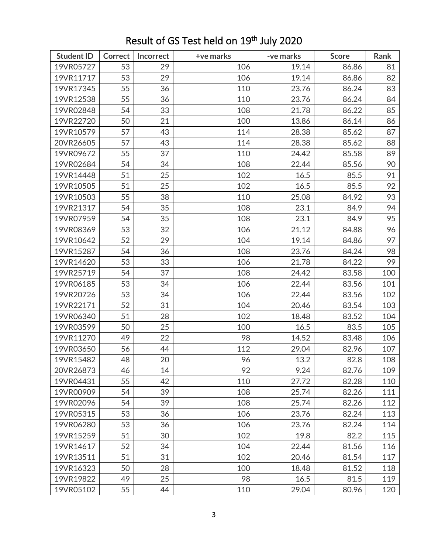| <b>Student ID</b> | <b>Correct</b> | Incorrect | +ve marks | -ve marks | <b>Score</b> | Rank |
|-------------------|----------------|-----------|-----------|-----------|--------------|------|
| 19VR05727         | 53             | 29        | 106       | 19.14     | 86.86        | 81   |
| 19VR11717         | 53             | 29        | 106       | 19.14     | 86.86        | 82   |
| 19VR17345         | 55             | 36        | 110       | 23.76     | 86.24        | 83   |
| 19VR12538         | 55             | 36        | 110       | 23.76     | 86.24        | 84   |
| 19VR02848         | 54             | 33        | 108       | 21.78     | 86.22        | 85   |
| 19VR22720         | 50             | 21        | 100       | 13.86     | 86.14        | 86   |
| 19VR10579         | 57             | 43        | 114       | 28.38     | 85.62        | 87   |
| 20VR26605         | 57             | 43        | 114       | 28.38     | 85.62        | 88   |
| 19VR09672         | 55             | 37        | 110       | 24.42     | 85.58        | 89   |
| 19VR02684         | 54             | 34        | 108       | 22.44     | 85.56        | 90   |
| 19VR14448         | 51             | 25        | 102       | 16.5      | 85.5         | 91   |
| 19VR10505         | 51             | 25        | 102       | 16.5      | 85.5         | 92   |
| 19VR10503         | 55             | 38        | 110       | 25.08     | 84.92        | 93   |
| 19VR21317         | 54             | 35        | 108       | 23.1      | 84.9         | 94   |
| 19VR07959         | 54             | 35        | 108       | 23.1      | 84.9         | 95   |
| 19VR08369         | 53             | 32        | 106       | 21.12     | 84.88        | 96   |
| 19VR10642         | 52             | 29        | 104       | 19.14     | 84.86        | 97   |
| 19VR15287         | 54             | 36        | 108       | 23.76     | 84.24        | 98   |
| 19VR14620         | 53             | 33        | 106       | 21.78     | 84.22        | 99   |
| 19VR25719         | 54             | 37        | 108       | 24.42     | 83.58        | 100  |
| 19VR06185         | 53             | 34        | 106       | 22.44     | 83.56        | 101  |
| 19VR20726         | 53             | 34        | 106       | 22.44     | 83.56        | 102  |
| 19VR22171         | 52             | 31        | 104       | 20.46     | 83.54        | 103  |
| 19VR06340         | 51             | 28        | 102       | 18.48     | 83.52        | 104  |
| 19VR03599         | 50             | 25        | 100       | 16.5      | 83.5         | 105  |
| 19VR11270         | 49             | 22        | 98        | 14.52     | 83.48        | 106  |
| 19VR03650         | 56             | 44        | 112       | 29.04     | 82.96        | 107  |
| 19VR15482         | 48             | 20        | 96        | 13.2      | 82.8         | 108  |
| 20VR26873         | 46             | 14        | 92        | 9.24      | 82.76        | 109  |
| 19VR04431         | 55             | 42        | 110       | 27.72     | 82.28        | 110  |
| 19VR00909         | 54             | 39        | 108       | 25.74     | 82.26        | 111  |
| 19VR02096         | 54             | 39        | 108       | 25.74     | 82.26        | 112  |
| 19VR05315         | 53             | 36        | 106       | 23.76     | 82.24        | 113  |
| 19VR06280         | 53             | 36        | 106       | 23.76     | 82.24        | 114  |
| 19VR15259         | 51             | 30        | 102       | 19.8      | 82.2         | 115  |
| 19VR14617         | 52             | 34        | 104       | 22.44     | 81.56        | 116  |
| 19VR13511         | 51             | 31        | 102       | 20.46     | 81.54        | 117  |
| 19VR16323         | 50             | 28        | 100       | 18.48     | 81.52        | 118  |
| 19VR19822         | 49             | 25        | 98        | 16.5      | 81.5         | 119  |
| 19VR05102         | 55             | 44        | 110       | 29.04     | 80.96        | 120  |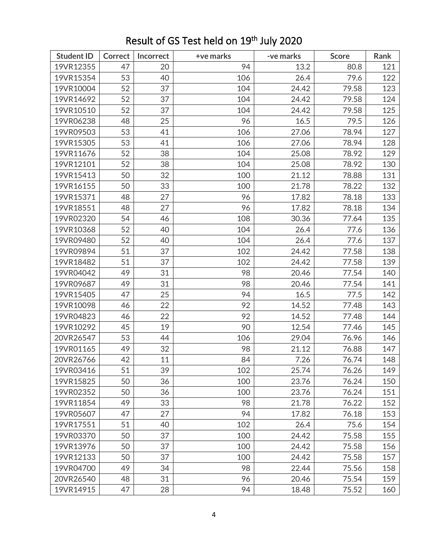| <b>Student ID</b> | <b>Correct</b> | Incorrect | +ve marks | -ve marks | <b>Score</b> | Rank |
|-------------------|----------------|-----------|-----------|-----------|--------------|------|
| 19VR12355         | 47             | 20        | 94        | 13.2      | 80.8         | 121  |
| 19VR15354         | 53             | 40        | 106       | 26.4      | 79.6         | 122  |
| 19VR10004         | 52             | 37        | 104       | 24.42     | 79.58        | 123  |
| 19VR14692         | 52             | 37        | 104       | 24.42     | 79.58        | 124  |
| 19VR10510         | 52             | 37        | 104       | 24.42     | 79.58        | 125  |
| 19VR06238         | 48             | 25        | 96        | 16.5      | 79.5         | 126  |
| 19VR09503         | 53             | 41        | 106       | 27.06     | 78.94        | 127  |
| 19VR15305         | 53             | 41        | 106       | 27.06     | 78.94        | 128  |
| 19VR11676         | 52             | 38        | 104       | 25.08     | 78.92        | 129  |
| 19VR12101         | 52             | 38        | 104       | 25.08     | 78.92        | 130  |
| 19VR15413         | 50             | 32        | 100       | 21.12     | 78.88        | 131  |
| 19VR16155         | 50             | 33        | 100       | 21.78     | 78.22        | 132  |
| 19VR15371         | 48             | 27        | 96        | 17.82     | 78.18        | 133  |
| 19VR18551         | 48             | 27        | 96        | 17.82     | 78.18        | 134  |
| 19VR02320         | 54             | 46        | 108       | 30.36     | 77.64        | 135  |
| 19VR10368         | 52             | 40        | 104       | 26.4      | 77.6         | 136  |
| 19VR09480         | 52             | 40        | 104       | 26.4      | 77.6         | 137  |
| 19VR09894         | 51             | 37        | 102       | 24.42     | 77.58        | 138  |
| 19VR18482         | 51             | 37        | 102       | 24.42     | 77.58        | 139  |
| 19VR04042         | 49             | 31        | 98        | 20.46     | 77.54        | 140  |
| 19VR09687         | 49             | 31        | 98        | 20.46     | 77.54        | 141  |
| 19VR15405         | 47             | 25        | 94        | 16.5      | 77.5         | 142  |
| 19VR10098         | 46             | 22        | 92        | 14.52     | 77.48        | 143  |
| 19VR04823         | 46             | 22        | 92        | 14.52     | 77.48        | 144  |
| 19VR10292         | 45             | 19        | 90        | 12.54     | 77.46        | 145  |
| 20VR26547         | 53             | 44        | 106       | 29.04     | 76.96        | 146  |
| 19VR01165         | 49             | 32        | 98        | 21.12     | 76.88        | 147  |
| 20VR26766         | 42             | 11        | 84        | 7.26      | 76.74        | 148  |
| 19VR03416         | 51             | 39        | 102       | 25.74     | 76.26        | 149  |
| 19VR15825         | 50             | 36        | 100       | 23.76     | 76.24        | 150  |
| 19VR02352         | 50             | 36        | 100       | 23.76     | 76.24        | 151  |
| 19VR11854         | 49             | 33        | 98        | 21.78     | 76.22        | 152  |
| 19VR05607         | 47             | 27        | 94        | 17.82     | 76.18        | 153  |
| 19VR17551         | 51             | 40        | 102       | 26.4      | 75.6         | 154  |
| 19VR03370         | 50             | 37        | 100       | 24.42     | 75.58        | 155  |
| 19VR13976         | 50             | 37        | 100       | 24.42     | 75.58        | 156  |
| 19VR12133         | 50             | 37        | 100       | 24.42     | 75.58        | 157  |
| 19VR04700         | 49             | 34        | 98        | 22.44     | 75.56        | 158  |
| 20VR26540         | 48             | 31        | 96        | 20.46     | 75.54        | 159  |
| 19VR14915         | 47             | 28        | 94        | 18.48     | 75.52        | 160  |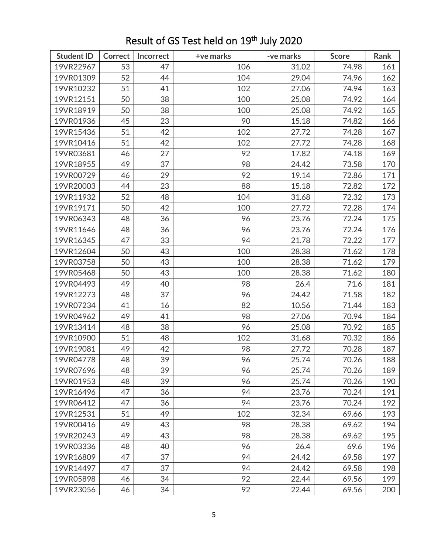| <b>Student ID</b> | Correct | Incorrect | +ve marks | -ve marks | <b>Score</b> | Rank |
|-------------------|---------|-----------|-----------|-----------|--------------|------|
| 19VR22967         | 53      | 47        | 106       | 31.02     | 74.98        | 161  |
| 19VR01309         | 52      | 44        | 104       | 29.04     | 74.96        | 162  |
| 19VR10232         | 51      | 41        | 102       | 27.06     | 74.94        | 163  |
| 19VR12151         | 50      | 38        | 100       | 25.08     | 74.92        | 164  |
| 19VR18919         | 50      | 38        | 100       | 25.08     | 74.92        | 165  |
| 19VR01936         | 45      | 23        | 90        | 15.18     | 74.82        | 166  |
| 19VR15436         | 51      | 42        | 102       | 27.72     | 74.28        | 167  |
| 19VR10416         | 51      | 42        | 102       | 27.72     | 74.28        | 168  |
| 19VR03681         | 46      | 27        | 92        | 17.82     | 74.18        | 169  |
| 19VR18955         | 49      | 37        | 98        | 24.42     | 73.58        | 170  |
| 19VR00729         | 46      | 29        | 92        | 19.14     | 72.86        | 171  |
| 19VR20003         | 44      | 23        | 88        | 15.18     | 72.82        | 172  |
| 19VR11932         | 52      | 48        | 104       | 31.68     | 72.32        | 173  |
| 19VR19171         | 50      | 42        | 100       | 27.72     | 72.28        | 174  |
| 19VR06343         | 48      | 36        | 96        | 23.76     | 72.24        | 175  |
| 19VR11646         | 48      | 36        | 96        | 23.76     | 72.24        | 176  |
| 19VR16345         | 47      | 33        | 94        | 21.78     | 72.22        | 177  |
| 19VR12604         | 50      | 43        | 100       | 28.38     | 71.62        | 178  |
| 19VR03758         | 50      | 43        | 100       | 28.38     | 71.62        | 179  |
| 19VR05468         | 50      | 43        | 100       | 28.38     | 71.62        | 180  |
| 19VR04493         | 49      | 40        | 98        | 26.4      | 71.6         | 181  |
| 19VR12273         | 48      | 37        | 96        | 24.42     | 71.58        | 182  |
| 19VR07234         | 41      | 16        | 82        | 10.56     | 71.44        | 183  |
| 19VR04962         | 49      | 41        | 98        | 27.06     | 70.94        | 184  |
| 19VR13414         | 48      | 38        | 96        | 25.08     | 70.92        | 185  |
| 19VR10900         | 51      | 48        | 102       | 31.68     | 70.32        | 186  |
| 19VR19081         | 49      | 42        | 98        | 27.72     | 70.28        | 187  |
| 19VR04778         | 48      | 39        | 96        | 25.74     | 70.26        | 188  |
| 19VR07696         | 48      | 39        | 96        | 25.74     | 70.26        | 189  |
| 19VR01953         | 48      | 39        | 96        | 25.74     | 70.26        | 190  |
| 19VR16496         | 47      | 36        | 94        | 23.76     | 70.24        | 191  |
| 19VR06412         | 47      | 36        | 94        | 23.76     | 70.24        | 192  |
| 19VR12531         | 51      | 49        | 102       | 32.34     | 69.66        | 193  |
| 19VR00416         | 49      | 43        | 98        | 28.38     | 69.62        | 194  |
| 19VR20243         | 49      | 43        | 98        | 28.38     | 69.62        | 195  |
| 19VR03336         | 48      | 40        | 96        | 26.4      | 69.6         | 196  |
| 19VR16809         | 47      | 37        | 94        | 24.42     | 69.58        | 197  |
| 19VR14497         | 47      | 37        | 94        | 24.42     | 69.58        | 198  |
| 19VR05898         | 46      | 34        | 92        | 22.44     | 69.56        | 199  |
| 19VR23056         | 46      | 34        | 92        | 22.44     | 69.56        | 200  |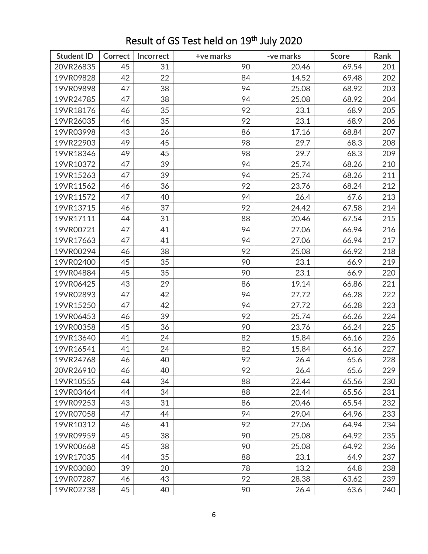| <b>Student ID</b> | <b>Correct</b> | Incorrect | +ve marks | -ve marks | <b>Score</b> | Rank |
|-------------------|----------------|-----------|-----------|-----------|--------------|------|
| 20VR26835         | 45             | 31        | 90        | 20.46     | 69.54        | 201  |
| 19VR09828         | 42             | 22        | 84        | 14.52     | 69.48        | 202  |
| 19VR09898         | 47             | 38        | 94        | 25.08     | 68.92        | 203  |
| 19VR24785         | 47             | 38        | 94        | 25.08     | 68.92        | 204  |
| 19VR18176         | 46             | 35        | 92        | 23.1      | 68.9         | 205  |
| 19VR26035         | 46             | 35        | 92        | 23.1      | 68.9         | 206  |
| 19VR03998         | 43             | 26        | 86        | 17.16     | 68.84        | 207  |
| 19VR22903         | 49             | 45        | 98        | 29.7      | 68.3         | 208  |
| 19VR18346         | 49             | 45        | 98        | 29.7      | 68.3         | 209  |
| 19VR10372         | 47             | 39        | 94        | 25.74     | 68.26        | 210  |
| 19VR15263         | 47             | 39        | 94        | 25.74     | 68.26        | 211  |
| 19VR11562         | 46             | 36        | 92        | 23.76     | 68.24        | 212  |
| 19VR11572         | 47             | 40        | 94        | 26.4      | 67.6         | 213  |
| 19VR13715         | 46             | 37        | 92        | 24.42     | 67.58        | 214  |
| 19VR17111         | 44             | 31        | 88        | 20.46     | 67.54        | 215  |
| 19VR00721         | 47             | 41        | 94        | 27.06     | 66.94        | 216  |
| 19VR17663         | 47             | 41        | 94        | 27.06     | 66.94        | 217  |
| 19VR00294         | 46             | 38        | 92        | 25.08     | 66.92        | 218  |
| 19VR02400         | 45             | 35        | 90        | 23.1      | 66.9         | 219  |
| 19VR04884         | 45             | 35        | 90        | 23.1      | 66.9         | 220  |
| 19VR06425         | 43             | 29        | 86        | 19.14     | 66.86        | 221  |
| 19VR02893         | 47             | 42        | 94        | 27.72     | 66.28        | 222  |
| 19VR15250         | 47             | 42        | 94        | 27.72     | 66.28        | 223  |
| 19VR06453         | 46             | 39        | 92        | 25.74     | 66.26        | 224  |
| 19VR00358         | 45             | 36        | 90        | 23.76     | 66.24        | 225  |
| 19VR13640         | 41             | 24        | 82        | 15.84     | 66.16        | 226  |
| 19VR16541         | 41             | 24        | 82        | 15.84     | 66.16        | 227  |
| 19VR24768         | 46             | 40        | 92        | 26.4      | 65.6         | 228  |
| 20VR26910         | 46             | 40        | 92        | 26.4      | 65.6         | 229  |
| 19VR10555         | 44             | 34        | 88        | 22.44     | 65.56        | 230  |
| 19VR03464         | 44             | 34        | 88        | 22.44     | 65.56        | 231  |
| 19VR09253         | 43             | 31        | 86        | 20.46     | 65.54        | 232  |
| 19VR07058         | 47             | 44        | 94        | 29.04     | 64.96        | 233  |
| 19VR10312         | 46             | 41        | 92        | 27.06     | 64.94        | 234  |
| 19VR09959         | 45             | 38        | 90        | 25.08     | 64.92        | 235  |
| 19VR00668         | 45             | 38        | 90        | 25.08     | 64.92        | 236  |
| 19VR17035         | 44             | 35        | 88        | 23.1      | 64.9         | 237  |
| 19VR03080         | 39             | 20        | 78        | 13.2      | 64.8         | 238  |
| 19VR07287         | 46             | 43        | 92        | 28.38     | 63.62        | 239  |
| 19VR02738         | 45             | 40        | 90        | 26.4      | 63.6         | 240  |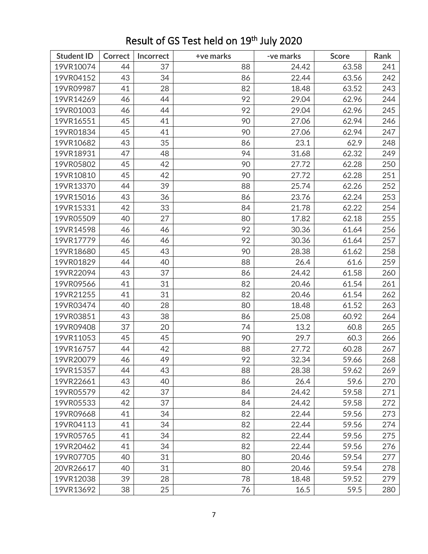| <b>Student ID</b> | <b>Correct</b> | Incorrect | +ve marks | -ve marks | <b>Score</b> | Rank |
|-------------------|----------------|-----------|-----------|-----------|--------------|------|
| 19VR10074         | 44             | 37        | 88        | 24.42     | 63.58        | 241  |
| 19VR04152         | 43             | 34        | 86        | 22.44     | 63.56        | 242  |
| 19VR09987         | 41             | 28        | 82        | 18.48     | 63.52        | 243  |
| 19VR14269         | 46             | 44        | 92        | 29.04     | 62.96        | 244  |
| 19VR01003         | 46             | 44        | 92        | 29.04     | 62.96        | 245  |
| 19VR16551         | 45             | 41        | 90        | 27.06     | 62.94        | 246  |
| 19VR01834         | 45             | 41        | 90        | 27.06     | 62.94        | 247  |
| 19VR10682         | 43             | 35        | 86        | 23.1      | 62.9         | 248  |
| 19VR18931         | 47             | 48        | 94        | 31.68     | 62.32        | 249  |
| 19VR05802         | 45             | 42        | 90        | 27.72     | 62.28        | 250  |
| 19VR10810         | 45             | 42        | 90        | 27.72     | 62.28        | 251  |
| 19VR13370         | 44             | 39        | 88        | 25.74     | 62.26        | 252  |
| 19VR15016         | 43             | 36        | 86        | 23.76     | 62.24        | 253  |
| 19VR15331         | 42             | 33        | 84        | 21.78     | 62.22        | 254  |
| 19VR05509         | 40             | 27        | 80        | 17.82     | 62.18        | 255  |
| 19VR14598         | 46             | 46        | 92        | 30.36     | 61.64        | 256  |
| 19VR17779         | 46             | 46        | 92        | 30.36     | 61.64        | 257  |
| 19VR18680         | 45             | 43        | 90        | 28.38     | 61.62        | 258  |
| 19VR01829         | 44             | 40        | 88        | 26.4      | 61.6         | 259  |
| 19VR22094         | 43             | 37        | 86        | 24.42     | 61.58        | 260  |
| 19VR09566         | 41             | 31        | 82        | 20.46     | 61.54        | 261  |
| 19VR21255         | 41             | 31        | 82        | 20.46     | 61.54        | 262  |
| 19VR03474         | 40             | 28        | 80        | 18.48     | 61.52        | 263  |
| 19VR03851         | 43             | 38        | 86        | 25.08     | 60.92        | 264  |
| 19VR09408         | 37             | 20        | 74        | 13.2      | 60.8         | 265  |
| 19VR11053         | 45             | 45        | 90        | 29.7      | 60.3         | 266  |
| 19VR16757         | 44             | 42        | 88        | 27.72     | 60.28        | 267  |
| 19VR20079         | 46             | 49        | 92        | 32.34     | 59.66        | 268  |
| 19VR15357         | 44             | 43        | 88        | 28.38     | 59.62        | 269  |
| 19VR22661         | 43             | 40        | 86        | 26.4      | 59.6         | 270  |
| 19VR05579         | 42             | 37        | 84        | 24.42     | 59.58        | 271  |
| 19VR05533         | 42             | 37        | 84        | 24.42     | 59.58        | 272  |
| 19VR09668         | 41             | 34        | 82        | 22.44     | 59.56        | 273  |
| 19VR04113         | 41             | 34        | 82        | 22.44     | 59.56        | 274  |
| 19VR05765         | 41             | 34        | 82        | 22.44     | 59.56        | 275  |
| 19VR20462         | 41             | 34        | 82        | 22.44     | 59.56        | 276  |
| 19VR07705         | 40             | 31        | 80        | 20.46     | 59.54        | 277  |
| 20VR26617         | 40             | 31        | 80        | 20.46     | 59.54        | 278  |
| 19VR12038         | 39             | 28        | 78        | 18.48     | 59.52        | 279  |
| 19VR13692         | 38             | 25        | 76        | 16.5      | 59.5         | 280  |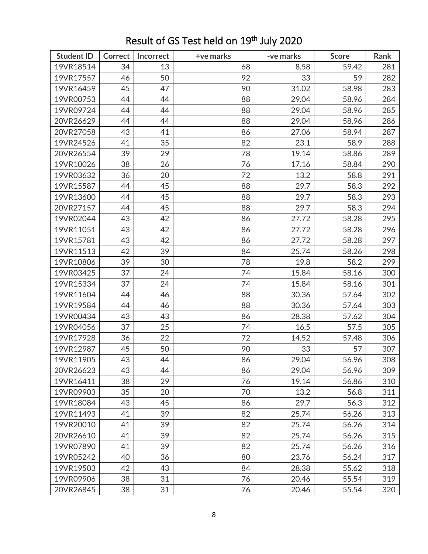| <b>Student ID</b> | Correct | Incorrect | +ve marks | -ve marks | <b>Score</b> | Rank |
|-------------------|---------|-----------|-----------|-----------|--------------|------|
| 19VR18514         | 34      | 13        | 68        | 8.58      | 59.42        | 281  |
| 19VR17557         | 46      | 50        | 92        | 33        | 59           | 282  |
| 19VR16459         | 45      | 47        | 90        | 31.02     | 58.98        | 283  |
| 19VR00753         | 44      | 44        | 88        | 29.04     | 58.96        | 284  |
| 19VR09724         | 44      | 44        | 88        | 29.04     | 58.96        | 285  |
| 20VR26629         | 44      | 44        | 88        | 29.04     | 58.96        | 286  |
| 20VR27058         | 43      | 41        | 86        | 27.06     | 58.94        | 287  |
| 19VR24526         | 41      | 35        | 82        | 23.1      | 58.9         | 288  |
| 20VR26554         | 39      | 29        | 78        | 19.14     | 58.86        | 289  |
| 19VR10026         | 38      | 26        | 76        | 17.16     | 58.84        | 290  |
| 19VR03632         | 36      | 20        | 72        | 13.2      | 58.8         | 291  |
| 19VR15587         | 44      | 45        | 88        | 29.7      | 58.3         | 292  |
| 19VR13600         | 44      | 45        | 88        | 29.7      | 58.3         | 293  |
| 20VR27157         | 44      | 45        | 88        | 29.7      | 58.3         | 294  |
| 19VR02044         | 43      | 42        | 86        | 27.72     | 58.28        | 295  |
| 19VR11051         | 43      | 42        | 86        | 27.72     | 58.28        | 296  |
| 19VR15781         | 43      | 42        | 86        | 27.72     | 58.28        | 297  |
| 19VR11513         | 42      | 39        | 84        | 25.74     | 58.26        | 298  |
| 19VR10806         | 39      | 30        | 78        | 19.8      | 58.2         | 299  |
| 19VR03425         | 37      | 24        | 74        | 15.84     | 58.16        | 300  |
| 19VR15334         | 37      | 24        | 74        | 15.84     | 58.16        | 301  |
| 19VR11604         | 44      | 46        | 88        | 30.36     | 57.64        | 302  |
| 19VR19584         | 44      | 46        | 88        | 30.36     | 57.64        | 303  |
| 19VR00434         | 43      | 43        | 86        | 28.38     | 57.62        | 304  |
| 19VR04056         | 37      | 25        | 74        | 16.5      | 57.5         | 305  |
| 19VR17928         | 36      | 22        | 72        | 14.52     | 57.48        | 306  |
| 19VR12987         | 45      | 50        | 90        | 33        | 57           | 307  |
| 19VR11905         | 43      | 44        | 86        | 29.04     | 56.96        | 308  |
| 20VR26623         | 43      | 44        | 86        | 29.04     | 56.96        | 309  |
| 19VR16411         | 38      | 29        | 76        | 19.14     | 56.86        | 310  |
| 19VR09903         | 35      | 20        | 70        | 13.2      | 56.8         | 311  |
| 19VR18084         | 43      | 45        | 86        | 29.7      | 56.3         | 312  |
| 19VR11493         | 41      | 39        | 82        | 25.74     | 56.26        | 313  |
| 19VR20010         | 41      | 39        | 82        | 25.74     | 56.26        | 314  |
| 20VR26610         | 41      | 39        | 82        | 25.74     | 56.26        | 315  |
| 19VR07890         | 41      | 39        | 82        | 25.74     | 56.26        | 316  |
| 19VR05242         | 40      | 36        | 80        | 23.76     | 56.24        | 317  |
| 19VR19503         | 42      | 43        | 84        | 28.38     | 55.62        | 318  |
| 19VR09906         | 38      | 31        | 76        | 20.46     | 55.54        | 319  |
| 20VR26845         | 38      | 31        | 76        | 20.46     | 55.54        | 320  |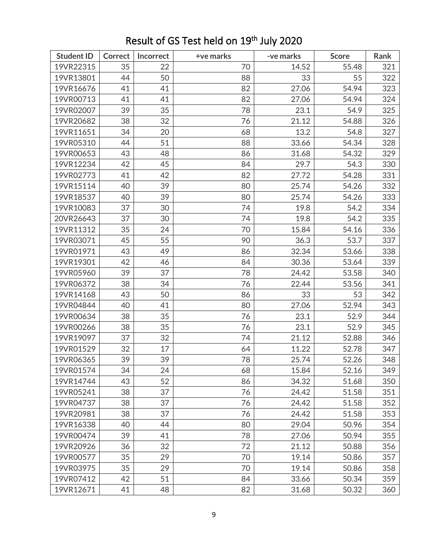| <b>Student ID</b> | <b>Correct</b> | Incorrect | +ve marks | -ve marks | <b>Score</b> | Rank |
|-------------------|----------------|-----------|-----------|-----------|--------------|------|
| 19VR22315         | 35             | 22        | 70        | 14.52     | 55.48        | 321  |
| 19VR13801         | 44             | 50        | 88        | 33        | 55           | 322  |
| 19VR16676         | 41             | 41        | 82        | 27.06     | 54.94        | 323  |
| 19VR00713         | 41             | 41        | 82        | 27.06     | 54.94        | 324  |
| 19VR02007         | 39             | 35        | 78        | 23.1      | 54.9         | 325  |
| 19VR20682         | 38             | 32        | 76        | 21.12     | 54.88        | 326  |
| 19VR11651         | 34             | 20        | 68        | 13.2      | 54.8         | 327  |
| 19VR05310         | 44             | 51        | 88        | 33.66     | 54.34        | 328  |
| 19VR00653         | 43             | 48        | 86        | 31.68     | 54.32        | 329  |
| 19VR12234         | 42             | 45        | 84        | 29.7      | 54.3         | 330  |
| 19VR02773         | 41             | 42        | 82        | 27.72     | 54.28        | 331  |
| 19VR15114         | 40             | 39        | 80        | 25.74     | 54.26        | 332  |
| 19VR18537         | 40             | 39        | 80        | 25.74     | 54.26        | 333  |
| 19VR10083         | 37             | 30        | 74        | 19.8      | 54.2         | 334  |
| 20VR26643         | 37             | 30        | 74        | 19.8      | 54.2         | 335  |
| 19VR11312         | 35             | 24        | 70        | 15.84     | 54.16        | 336  |
| 19VR03071         | 45             | 55        | 90        | 36.3      | 53.7         | 337  |
| 19VR01971         | 43             | 49        | 86        | 32.34     | 53.66        | 338  |
| 19VR19301         | 42             | 46        | 84        | 30.36     | 53.64        | 339  |
| 19VR05960         | 39             | 37        | 78        | 24.42     | 53.58        | 340  |
| 19VR06372         | 38             | 34        | 76        | 22.44     | 53.56        | 341  |
| 19VR14168         | 43             | 50        | 86        | 33        | 53           | 342  |
| 19VR04844         | 40             | 41        | 80        | 27.06     | 52.94        | 343  |
| 19VR00634         | 38             | 35        | 76        | 23.1      | 52.9         | 344  |
| 19VR00266         | 38             | 35        | 76        | 23.1      | 52.9         | 345  |
| 19VR19097         | 37             | 32        | 74        | 21.12     | 52.88        | 346  |
| 19VR01529         | 32             | 17        | 64        | 11.22     | 52.78        | 347  |
| 19VR06365         | 39             | 39        | 78        | 25.74     | 52.26        | 348  |
| 19VR01574         | 34             | 24        | 68        | 15.84     | 52.16        | 349  |
| 19VR14744         | 43             | 52        | 86        | 34.32     | 51.68        | 350  |
| 19VR05241         | 38             | 37        | 76        | 24.42     | 51.58        | 351  |
| 19VR04737         | 38             | 37        | 76        | 24.42     | 51.58        | 352  |
| 19VR20981         | 38             | 37        | 76        | 24.42     | 51.58        | 353  |
| 19VR16338         | 40             | 44        | 80        | 29.04     | 50.96        | 354  |
| 19VR00474         | 39             | 41        | 78        | 27.06     | 50.94        | 355  |
| 19VR20926         | 36             | 32        | 72        | 21.12     | 50.88        | 356  |
| 19VR00577         | 35             | 29        | 70        | 19.14     | 50.86        | 357  |
| 19VR03975         | 35             | 29        | 70        | 19.14     | 50.86        | 358  |
| 19VR07412         | 42             | 51        | 84        | 33.66     | 50.34        | 359  |
| 19VR12671         | 41             | 48        | 82        | 31.68     | 50.32        | 360  |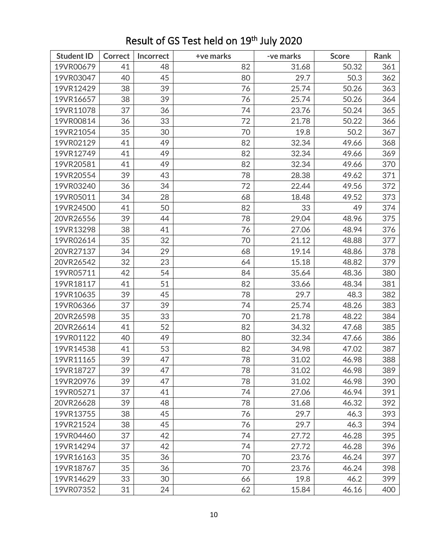| <b>Student ID</b> | <b>Correct</b> | Incorrect | +ve marks | -ve marks | <b>Score</b> | Rank |
|-------------------|----------------|-----------|-----------|-----------|--------------|------|
| 19VR00679         | 41             | 48        | 82        | 31.68     | 50.32        | 361  |
| 19VR03047         | 40             | 45        | 80        | 29.7      | 50.3         | 362  |
| 19VR12429         | 38             | 39        | 76        | 25.74     | 50.26        | 363  |
| 19VR16657         | 38             | 39        | 76        | 25.74     | 50.26        | 364  |
| 19VR11078         | 37             | 36        | 74        | 23.76     | 50.24        | 365  |
| 19VR00814         | 36             | 33        | 72        | 21.78     | 50.22        | 366  |
| 19VR21054         | 35             | 30        | 70        | 19.8      | 50.2         | 367  |
| 19VR02129         | 41             | 49        | 82        | 32.34     | 49.66        | 368  |
| 19VR12749         | 41             | 49        | 82        | 32.34     | 49.66        | 369  |
| 19VR20581         | 41             | 49        | 82        | 32.34     | 49.66        | 370  |
| 19VR20554         | 39             | 43        | 78        | 28.38     | 49.62        | 371  |
| 19VR03240         | 36             | 34        | 72        | 22.44     | 49.56        | 372  |
| 19VR05011         | 34             | 28        | 68        | 18.48     | 49.52        | 373  |
| 19VR24500         | 41             | 50        | 82        | 33        | 49           | 374  |
| 20VR26556         | 39             | 44        | 78        | 29.04     | 48.96        | 375  |
| 19VR13298         | 38             | 41        | 76        | 27.06     | 48.94        | 376  |
| 19VR02614         | 35             | 32        | 70        | 21.12     | 48.88        | 377  |
| 20VR27137         | 34             | 29        | 68        | 19.14     | 48.86        | 378  |
| 20VR26542         | 32             | 23        | 64        | 15.18     | 48.82        | 379  |
| 19VR05711         | 42             | 54        | 84        | 35.64     | 48.36        | 380  |
| 19VR18117         | 41             | 51        | 82        | 33.66     | 48.34        | 381  |
| 19VR10635         | 39             | 45        | 78        | 29.7      | 48.3         | 382  |
| 19VR06366         | 37             | 39        | 74        | 25.74     | 48.26        | 383  |
| 20VR26598         | 35             | 33        | 70        | 21.78     | 48.22        | 384  |
| 20VR26614         | 41             | 52        | 82        | 34.32     | 47.68        | 385  |
| 19VR01122         | 40             | 49        | 80        | 32.34     | 47.66        | 386  |
| 19VR14538         | 41             | 53        | 82        | 34.98     | 47.02        | 387  |
| 19VR11165         | 39             | 47        | 78        | 31.02     | 46.98        | 388  |
| 19VR18727         | 39             | 47        | 78        | 31.02     | 46.98        | 389  |
| 19VR20976         | 39             | 47        | 78        | 31.02     | 46.98        | 390  |
| 19VR05271         | 37             | 41        | 74        | 27.06     | 46.94        | 391  |
| 20VR26628         | 39             | 48        | 78        | 31.68     | 46.32        | 392  |
| 19VR13755         | 38             | 45        | 76        | 29.7      | 46.3         | 393  |
| 19VR21524         | 38             | 45        | 76        | 29.7      | 46.3         | 394  |
| 19VR04460         | 37             | 42        | 74        | 27.72     | 46.28        | 395  |
| 19VR14294         | 37             | 42        | 74        | 27.72     | 46.28        | 396  |
| 19VR16163         | 35             | 36        | 70        | 23.76     | 46.24        | 397  |
| 19VR18767         | 35             | 36        | 70        | 23.76     | 46.24        | 398  |
| 19VR14629         | 33             | 30        | 66        | 19.8      | 46.2         | 399  |
| 19VR07352         | 31             | 24        | 62        | 15.84     | 46.16        | 400  |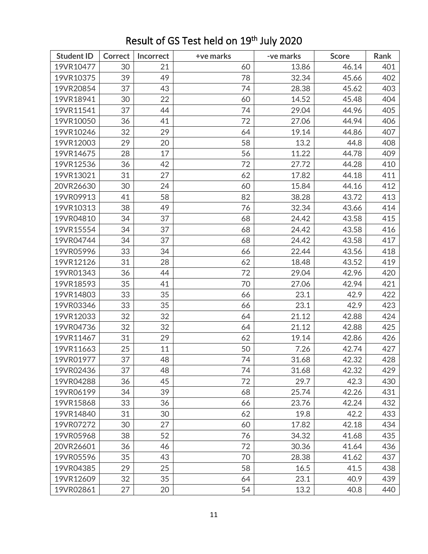| <b>Student ID</b> | <b>Correct</b> | Incorrect | +ve marks | -ve marks | <b>Score</b> | Rank |
|-------------------|----------------|-----------|-----------|-----------|--------------|------|
| 19VR10477         | 30             | 21        | 60        | 13.86     | 46.14        | 401  |
| 19VR10375         | 39             | 49        | 78        | 32.34     | 45.66        | 402  |
| 19VR20854         | 37             | 43        | 74        | 28.38     | 45.62        | 403  |
| 19VR18941         | 30             | 22        | 60        | 14.52     | 45.48        | 404  |
| 19VR11541         | 37             | 44        | 74        | 29.04     | 44.96        | 405  |
| 19VR10050         | 36             | 41        | 72        | 27.06     | 44.94        | 406  |
| 19VR10246         | 32             | 29        | 64        | 19.14     | 44.86        | 407  |
| 19VR12003         | 29             | 20        | 58        | 13.2      | 44.8         | 408  |
| 19VR14675         | 28             | 17        | 56        | 11.22     | 44.78        | 409  |
| 19VR12536         | 36             | 42        | 72        | 27.72     | 44.28        | 410  |
| 19VR13021         | 31             | 27        | 62        | 17.82     | 44.18        | 411  |
| 20VR26630         | 30             | 24        | 60        | 15.84     | 44.16        | 412  |
| 19VR09913         | 41             | 58        | 82        | 38.28     | 43.72        | 413  |
| 19VR10313         | 38             | 49        | 76        | 32.34     | 43.66        | 414  |
| 19VR04810         | 34             | 37        | 68        | 24.42     | 43.58        | 415  |
| 19VR15554         | 34             | 37        | 68        | 24.42     | 43.58        | 416  |
| 19VR04744         | 34             | 37        | 68        | 24.42     | 43.58        | 417  |
| 19VR05996         | 33             | 34        | 66        | 22.44     | 43.56        | 418  |
| 19VR12126         | 31             | 28        | 62        | 18.48     | 43.52        | 419  |
| 19VR01343         | 36             | 44        | 72        | 29.04     | 42.96        | 420  |
| 19VR18593         | 35             | 41        | 70        | 27.06     | 42.94        | 421  |
| 19VR14803         | 33             | 35        | 66        | 23.1      | 42.9         | 422  |
| 19VR03346         | 33             | 35        | 66        | 23.1      | 42.9         | 423  |
| 19VR12033         | 32             | 32        | 64        | 21.12     | 42.88        | 424  |
| 19VR04736         | 32             | 32        | 64        | 21.12     | 42.88        | 425  |
| 19VR11467         | 31             | 29        | 62        | 19.14     | 42.86        | 426  |
| 19VR11663         | 25             | 11        | 50        | 7.26      | 42.74        | 427  |
| 19VR01977         | 37             | 48        | 74        | 31.68     | 42.32        | 428  |
| 19VR02436         | 37             | 48        | 74        | 31.68     | 42.32        | 429  |
| 19VR04288         | 36             | 45        | 72        | 29.7      | 42.3         | 430  |
| 19VR06199         | 34             | 39        | 68        | 25.74     | 42.26        | 431  |
| 19VR15868         | 33             | 36        | 66        | 23.76     | 42.24        | 432  |
| 19VR14840         | 31             | 30        | 62        | 19.8      | 42.2         | 433  |
| 19VR07272         | 30             | 27        | 60        | 17.82     | 42.18        | 434  |
| 19VR05968         | 38             | 52        | 76        | 34.32     | 41.68        | 435  |
| 20VR26601         | 36             | 46        | 72        | 30.36     | 41.64        | 436  |
| 19VR05596         | 35             | 43        | 70        | 28.38     | 41.62        | 437  |
| 19VR04385         | 29             | 25        | 58        | 16.5      | 41.5         | 438  |
| 19VR12609         | 32             | 35        | 64        | 23.1      | 40.9         | 439  |
| 19VR02861         | 27             | 20        | 54        | 13.2      | 40.8         | 440  |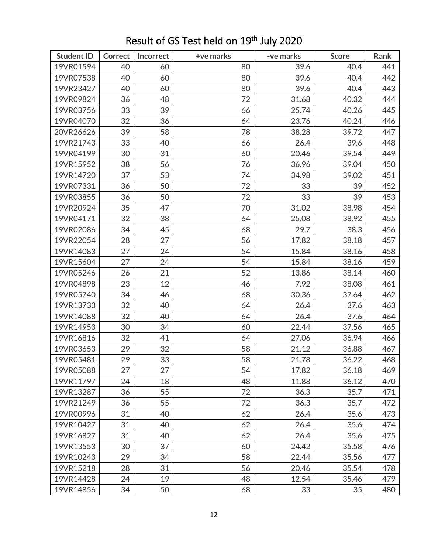| <b>Student ID</b> | <b>Correct</b> | Incorrect | +ve marks | -ve marks | <b>Score</b> | Rank |
|-------------------|----------------|-----------|-----------|-----------|--------------|------|
| 19VR01594         | 40             | 60        | 80        | 39.6      | 40.4         | 441  |
| 19VR07538         | 40             | 60        | 80        | 39.6      | 40.4         | 442  |
| 19VR23427         | 40             | 60        | 80        | 39.6      | 40.4         | 443  |
| 19VR09824         | 36             | 48        | 72        | 31.68     | 40.32        | 444  |
| 19VR03756         | 33             | 39        | 66        | 25.74     | 40.26        | 445  |
| 19VR04070         | 32             | 36        | 64        | 23.76     | 40.24        | 446  |
| 20VR26626         | 39             | 58        | 78        | 38.28     | 39.72        | 447  |
| 19VR21743         | 33             | 40        | 66        | 26.4      | 39.6         | 448  |
| 19VR04199         | 30             | 31        | 60        | 20.46     | 39.54        | 449  |
| 19VR15952         | 38             | 56        | 76        | 36.96     | 39.04        | 450  |
| 19VR14720         | 37             | 53        | 74        | 34.98     | 39.02        | 451  |
| 19VR07331         | 36             | 50        | 72        | 33        | 39           | 452  |
| 19VR03855         | 36             | 50        | 72        | 33        | 39           | 453  |
| 19VR20924         | 35             | 47        | 70        | 31.02     | 38.98        | 454  |
| 19VR04171         | 32             | 38        | 64        | 25.08     | 38.92        | 455  |
| 19VR02086         | 34             | 45        | 68        | 29.7      | 38.3         | 456  |
| 19VR22054         | 28             | 27        | 56        | 17.82     | 38.18        | 457  |
| 19VR14083         | 27             | 24        | 54        | 15.84     | 38.16        | 458  |
| 19VR15604         | 27             | 24        | 54        | 15.84     | 38.16        | 459  |
| 19VR05246         | 26             | 21        | 52        | 13.86     | 38.14        | 460  |
| 19VR04898         | 23             | 12        | 46        | 7.92      | 38.08        | 461  |
| 19VR05740         | 34             | 46        | 68        | 30.36     | 37.64        | 462  |
| 19VR13733         | 32             | 40        | 64        | 26.4      | 37.6         | 463  |
| 19VR14088         | 32             | 40        | 64        | 26.4      | 37.6         | 464  |
| 19VR14953         | 30             | 34        | 60        | 22.44     | 37.56        | 465  |
| 19VR16816         | 32             | 41        | 64        | 27.06     | 36.94        | 466  |
| 19VR03653         | 29             | 32        | 58        | 21.12     | 36.88        | 467  |
| 19VR05481         | 29             | 33        | 58        | 21.78     | 36.22        | 468  |
| 19VR05088         | 27             | 27        | 54        | 17.82     | 36.18        | 469  |
| 19VR11797         | 24             | 18        | 48        | 11.88     | 36.12        | 470  |
| 19VR13287         | 36             | 55        | 72        | 36.3      | 35.7         | 471  |
| 19VR21249         | 36             | 55        | 72        | 36.3      | 35.7         | 472  |
| 19VR00996         | 31             | 40        | 62        | 26.4      | 35.6         | 473  |
| 19VR10427         | 31             | 40        | 62        | 26.4      | 35.6         | 474  |
| 19VR16827         | 31             | 40        | 62        | 26.4      | 35.6         | 475  |
| 19VR13553         | 30             | 37        | 60        | 24.42     | 35.58        | 476  |
| 19VR10243         | 29             | 34        | 58        | 22.44     | 35.56        | 477  |
| 19VR15218         | 28             | 31        | 56        | 20.46     | 35.54        | 478  |
| 19VR14428         | 24             | 19        | 48        | 12.54     | 35.46        | 479  |
| 19VR14856         | 34             | 50        | 68        | 33        | 35           | 480  |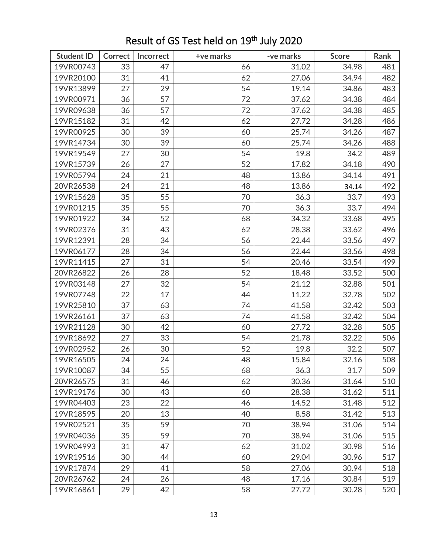| <b>Student ID</b> | <b>Correct</b> | Incorrect | +ve marks | -ve marks | <b>Score</b> | Rank |
|-------------------|----------------|-----------|-----------|-----------|--------------|------|
| 19VR00743         | 33             | 47        | 66        | 31.02     | 34.98        | 481  |
| 19VR20100         | 31             | 41        | 62        | 27.06     | 34.94        | 482  |
| 19VR13899         | 27             | 29        | 54        | 19.14     | 34.86        | 483  |
| 19VR00971         | 36             | 57        | 72        | 37.62     | 34.38        | 484  |
| 19VR09638         | 36             | 57        | 72        | 37.62     | 34.38        | 485  |
| 19VR15182         | 31             | 42        | 62        | 27.72     | 34.28        | 486  |
| 19VR00925         | 30             | 39        | 60        | 25.74     | 34.26        | 487  |
| 19VR14734         | 30             | 39        | 60        | 25.74     | 34.26        | 488  |
| 19VR19549         | 27             | 30        | 54        | 19.8      | 34.2         | 489  |
| 19VR15739         | 26             | 27        | 52        | 17.82     | 34.18        | 490  |
| 19VR05794         | 24             | 21        | 48        | 13.86     | 34.14        | 491  |
| 20VR26538         | 24             | 21        | 48        | 13.86     | 34.14        | 492  |
| 19VR15628         | 35             | 55        | 70        | 36.3      | 33.7         | 493  |
| 19VR01215         | 35             | 55        | 70        | 36.3      | 33.7         | 494  |
| 19VR01922         | 34             | 52        | 68        | 34.32     | 33.68        | 495  |
| 19VR02376         | 31             | 43        | 62        | 28.38     | 33.62        | 496  |
| 19VR12391         | 28             | 34        | 56        | 22.44     | 33.56        | 497  |
| 19VR06177         | 28             | 34        | 56        | 22.44     | 33.56        | 498  |
| 19VR11415         | 27             | 31        | 54        | 20.46     | 33.54        | 499  |
| 20VR26822         | 26             | 28        | 52        | 18.48     | 33.52        | 500  |
| 19VR03148         | 27             | 32        | 54        | 21.12     | 32.88        | 501  |
| 19VR07748         | 22             | 17        | 44        | 11.22     | 32.78        | 502  |
| 19VR25810         | 37             | 63        | 74        | 41.58     | 32.42        | 503  |
| 19VR26161         | 37             | 63        | 74        | 41.58     | 32.42        | 504  |
| 19VR21128         | 30             | 42        | 60        | 27.72     | 32.28        | 505  |
| 19VR18692         | 27             | 33        | 54        | 21.78     | 32.22        | 506  |
| 19VR02952         | 26             | 30        | 52        | 19.8      | 32.2         | 507  |
| 19VR16505         | 24             | 24        | 48        | 15.84     | 32.16        | 508  |
| 19VR10087         | 34             | 55        | 68        | 36.3      | 31.7         | 509  |
| 20VR26575         | 31             | 46        | 62        | 30.36     | 31.64        | 510  |
| 19VR19176         | 30             | 43        | 60        | 28.38     | 31.62        | 511  |
| 19VR04403         | 23             | 22        | 46        | 14.52     | 31.48        | 512  |
| 19VR18595         | 20             | 13        | 40        | 8.58      | 31.42        | 513  |
| 19VR02521         | 35             | 59        | 70        | 38.94     | 31.06        | 514  |
| 19VR04036         | 35             | 59        | 70        | 38.94     | 31.06        | 515  |
| 19VR04993         | 31             | 47        | 62        | 31.02     | 30.98        | 516  |
| 19VR19516         | 30             | 44        | 60        | 29.04     | 30.96        | 517  |
| 19VR17874         | 29             | 41        | 58        | 27.06     | 30.94        | 518  |
| 20VR26762         | 24             | 26        | 48        | 17.16     | 30.84        | 519  |
| 19VR16861         | 29             | 42        | 58        | 27.72     | 30.28        | 520  |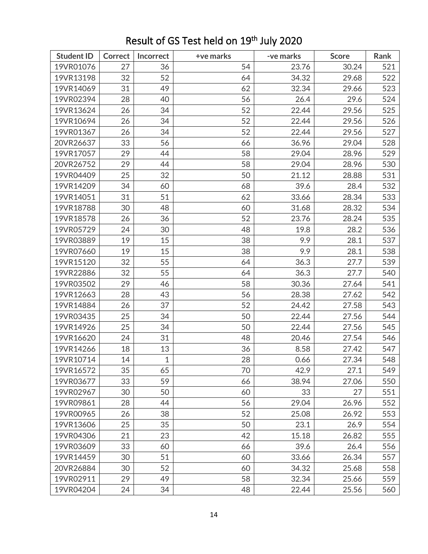| <b>Student ID</b> | Correct | Incorrect    | +ve marks | -ve marks | <b>Score</b> | Rank |
|-------------------|---------|--------------|-----------|-----------|--------------|------|
| 19VR01076         | 27      | 36           | 54        | 23.76     | 30.24        | 521  |
| 19VR13198         | 32      | 52           | 64        | 34.32     | 29.68        | 522  |
| 19VR14069         | 31      | 49           | 62        | 32.34     | 29.66        | 523  |
| 19VR02394         | 28      | 40           | 56        | 26.4      | 29.6         | 524  |
| 19VR13624         | 26      | 34           | 52        | 22.44     | 29.56        | 525  |
| 19VR10694         | 26      | 34           | 52        | 22.44     | 29.56        | 526  |
| 19VR01367         | 26      | 34           | 52        | 22.44     | 29.56        | 527  |
| 20VR26637         | 33      | 56           | 66        | 36.96     | 29.04        | 528  |
| 19VR17057         | 29      | 44           | 58        | 29.04     | 28.96        | 529  |
| 20VR26752         | 29      | 44           | 58        | 29.04     | 28.96        | 530  |
| 19VR04409         | 25      | 32           | 50        | 21.12     | 28.88        | 531  |
| 19VR14209         | 34      | 60           | 68        | 39.6      | 28.4         | 532  |
| 19VR14051         | 31      | 51           | 62        | 33.66     | 28.34        | 533  |
| 19VR18788         | 30      | 48           | 60        | 31.68     | 28.32        | 534  |
| 19VR18578         | 26      | 36           | 52        | 23.76     | 28.24        | 535  |
| 19VR05729         | 24      | 30           | 48        | 19.8      | 28.2         | 536  |
| 19VR03889         | 19      | 15           | 38        | 9.9       | 28.1         | 537  |
| 19VR07660         | 19      | 15           | 38        | 9.9       | 28.1         | 538  |
| 19VR15120         | 32      | 55           | 64        | 36.3      | 27.7         | 539  |
| 19VR22886         | 32      | 55           | 64        | 36.3      | 27.7         | 540  |
| 19VR03502         | 29      | 46           | 58        | 30.36     | 27.64        | 541  |
| 19VR12663         | 28      | 43           | 56        | 28.38     | 27.62        | 542  |
| 19VR14884         | 26      | 37           | 52        | 24.42     | 27.58        | 543  |
| 19VR03435         | 25      | 34           | 50        | 22.44     | 27.56        | 544  |
| 19VR14926         | 25      | 34           | 50        | 22.44     | 27.56        | 545  |
| 19VR16620         | 24      | 31           | 48        | 20.46     | 27.54        | 546  |
| 19VR14266         | 18      | 13           | 36        | 8.58      | 27.42        | 547  |
| 19VR10714         | 14      | $\mathbf{1}$ | 28        | 0.66      | 27.34        | 548  |
| 19VR16572         | 35      | 65           | 70        | 42.9      | 27.1         | 549  |
| 19VR03677         | 33      | 59           | 66        | 38.94     | 27.06        | 550  |
| 19VR02967         | 30      | 50           | 60        | 33        | 27           | 551  |
| 19VR09861         | 28      | 44           | 56        | 29.04     | 26.96        | 552  |
| 19VR00965         | 26      | 38           | 52        | 25.08     | 26.92        | 553  |
| 19VR13606         | 25      | 35           | 50        | 23.1      | 26.9         | 554  |
| 19VR04306         | 21      | 23           | 42        | 15.18     | 26.82        | 555  |
| 19VR03609         | 33      | 60           | 66        | 39.6      | 26.4         | 556  |
| 19VR14459         | 30      | 51           | 60        | 33.66     | 26.34        | 557  |
| 20VR26884         | 30      | 52           | 60        | 34.32     | 25.68        | 558  |
| 19VR02911         | 29      | 49           | 58        | 32.34     | 25.66        | 559  |
| 19VR04204         | 24      | 34           | 48        | 22.44     | 25.56        | 560  |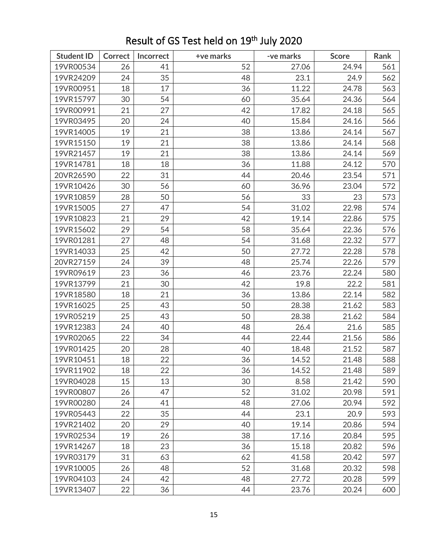| <b>Student ID</b> | Correct | Incorrect | +ve marks | -ve marks | <b>Score</b> | Rank |
|-------------------|---------|-----------|-----------|-----------|--------------|------|
| 19VR00534         | 26      | 41        | 52        | 27.06     | 24.94        | 561  |
| 19VR24209         | 24      | 35        | 48        | 23.1      | 24.9         | 562  |
| 19VR00951         | 18      | 17        | 36        | 11.22     | 24.78        | 563  |
| 19VR15797         | 30      | 54        | 60        | 35.64     | 24.36        | 564  |
| 19VR00991         | 21      | 27        | 42        | 17.82     | 24.18        | 565  |
| 19VR03495         | 20      | 24        | 40        | 15.84     | 24.16        | 566  |
| 19VR14005         | 19      | 21        | 38        | 13.86     | 24.14        | 567  |
| 19VR15150         | 19      | 21        | 38        | 13.86     | 24.14        | 568  |
| 19VR21457         | 19      | 21        | 38        | 13.86     | 24.14        | 569  |
| 19VR14781         | 18      | 18        | 36        | 11.88     | 24.12        | 570  |
| 20VR26590         | 22      | 31        | 44        | 20.46     | 23.54        | 571  |
| 19VR10426         | 30      | 56        | 60        | 36.96     | 23.04        | 572  |
| 19VR10859         | 28      | 50        | 56        | 33        | 23           | 573  |
| 19VR15005         | 27      | 47        | 54        | 31.02     | 22.98        | 574  |
| 19VR10823         | 21      | 29        | 42        | 19.14     | 22.86        | 575  |
| 19VR15602         | 29      | 54        | 58        | 35.64     | 22.36        | 576  |
| 19VR01281         | 27      | 48        | 54        | 31.68     | 22.32        | 577  |
| 19VR14033         | 25      | 42        | 50        | 27.72     | 22.28        | 578  |
| 20VR27159         | 24      | 39        | 48        | 25.74     | 22.26        | 579  |
| 19VR09619         | 23      | 36        | 46        | 23.76     | 22.24        | 580  |
| 19VR13799         | 21      | 30        | 42        | 19.8      | 22.2         | 581  |
| 19VR18580         | 18      | 21        | 36        | 13.86     | 22.14        | 582  |
| 19VR16025         | 25      | 43        | 50        | 28.38     | 21.62        | 583  |
| 19VR05219         | 25      | 43        | 50        | 28.38     | 21.62        | 584  |
| 19VR12383         | 24      | 40        | 48        | 26.4      | 21.6         | 585  |
| 19VR02065         | 22      | 34        | 44        | 22.44     | 21.56        | 586  |
| 19VR01425         | 20      | 28        | 40        | 18.48     | 21.52        | 587  |
| 19VR10451         | 18      | 22        | 36        | 14.52     | 21.48        | 588  |
| 19VR11902         | 18      | 22        | 36        | 14.52     | 21.48        | 589  |
| 19VR04028         | 15      | 13        | 30        | 8.58      | 21.42        | 590  |
| 19VR00807         | 26      | 47        | 52        | 31.02     | 20.98        | 591  |
| 19VR00280         | 24      | 41        | 48        | 27.06     | 20.94        | 592  |
| 19VR05443         | 22      | 35        | 44        | 23.1      | 20.9         | 593  |
| 19VR21402         | 20      | 29        | 40        | 19.14     | 20.86        | 594  |
| 19VR02534         | 19      | 26        | 38        | 17.16     | 20.84        | 595  |
| 19VR14267         | 18      | 23        | 36        | 15.18     | 20.82        | 596  |
| 19VR03179         | 31      | 63        | 62        | 41.58     | 20.42        | 597  |
| 19VR10005         | 26      | 48        | 52        | 31.68     | 20.32        | 598  |
| 19VR04103         | 24      | 42        | 48        | 27.72     | 20.28        | 599  |
| 19VR13407         | 22      | 36        | 44        | 23.76     | 20.24        | 600  |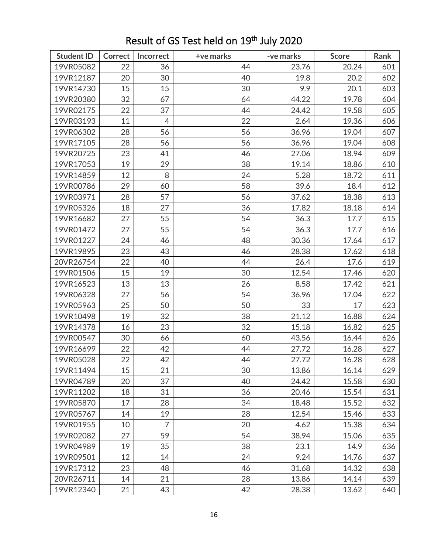| <b>Student ID</b> | <b>Correct</b> | Incorrect      | +ve marks | -ve marks | <b>Score</b> | Rank |
|-------------------|----------------|----------------|-----------|-----------|--------------|------|
| 19VR05082         | 22             | 36             | 44        | 23.76     | 20.24        | 601  |
| 19VR12187         | 20             | 30             | 40        | 19.8      | 20.2         | 602  |
| 19VR14730         | 15             | 15             | 30        | 9.9       | 20.1         | 603  |
| 19VR20380         | 32             | 67             | 64        | 44.22     | 19.78        | 604  |
| 19VR02175         | 22             | 37             | 44        | 24.42     | 19.58        | 605  |
| 19VR03193         | 11             | $\overline{4}$ | 22        | 2.64      | 19.36        | 606  |
| 19VR06302         | 28             | 56             | 56        | 36.96     | 19.04        | 607  |
| 19VR17105         | 28             | 56             | 56        | 36.96     | 19.04        | 608  |
| 19VR20725         | 23             | 41             | 46        | 27.06     | 18.94        | 609  |
| 19VR17053         | 19             | 29             | 38        | 19.14     | 18.86        | 610  |
| 19VR14859         | 12             | 8              | 24        | 5.28      | 18.72        | 611  |
| 19VR00786         | 29             | 60             | 58        | 39.6      | 18.4         | 612  |
| 19VR03971         | 28             | 57             | 56        | 37.62     | 18.38        | 613  |
| 19VR05326         | 18             | 27             | 36        | 17.82     | 18.18        | 614  |
| 19VR16682         | 27             | 55             | 54        | 36.3      | 17.7         | 615  |
| 19VR01472         | 27             | 55             | 54        | 36.3      | 17.7         | 616  |
| 19VR01227         | 24             | 46             | 48        | 30.36     | 17.64        | 617  |
| 19VR19895         | 23             | 43             | 46        | 28.38     | 17.62        | 618  |
| 20VR26754         | 22             | 40             | 44        | 26.4      | 17.6         | 619  |
| 19VR01506         | 15             | 19             | 30        | 12.54     | 17.46        | 620  |
| 19VR16523         | 13             | 13             | 26        | 8.58      | 17.42        | 621  |
| 19VR06328         | 27             | 56             | 54        | 36.96     | 17.04        | 622  |
| 19VR05963         | 25             | 50             | 50        | 33        | 17           | 623  |
| 19VR10498         | 19             | 32             | 38        | 21.12     | 16.88        | 624  |
| 19VR14378         | 16             | 23             | 32        | 15.18     | 16.82        | 625  |
| 19VR00547         | 30             | 66             | 60        | 43.56     | 16.44        | 626  |
| 19VR16699         | 22             | 42             | 44        | 27.72     | 16.28        | 627  |
| 19VR05028         | 22             | 42             | 44        | 27.72     | 16.28        | 628  |
| 19VR11494         | 15             | 21             | 30        | 13.86     | 16.14        | 629  |
| 19VR04789         | 20             | 37             | 40        | 24.42     | 15.58        | 630  |
| 19VR11202         | 18             | 31             | 36        | 20.46     | 15.54        | 631  |
| 19VR05870         | 17             | 28             | 34        | 18.48     | 15.52        | 632  |
| 19VR05767         | 14             | 19             | 28        | 12.54     | 15.46        | 633  |
| 19VR01955         | 10             | $\overline{7}$ | 20        | 4.62      | 15.38        | 634  |
| 19VR02082         | 27             | 59             | 54        | 38.94     | 15.06        | 635  |
| 19VR04989         | 19             | 35             | 38        | 23.1      | 14.9         | 636  |
| 19VR09501         | 12             | 14             | 24        | 9.24      | 14.76        | 637  |
| 19VR17312         | 23             | 48             | 46        | 31.68     | 14.32        | 638  |
| 20VR26711         | 14             | 21             | 28        | 13.86     | 14.14        | 639  |
| 19VR12340         | 21             | 43             | 42        | 28.38     | 13.62        | 640  |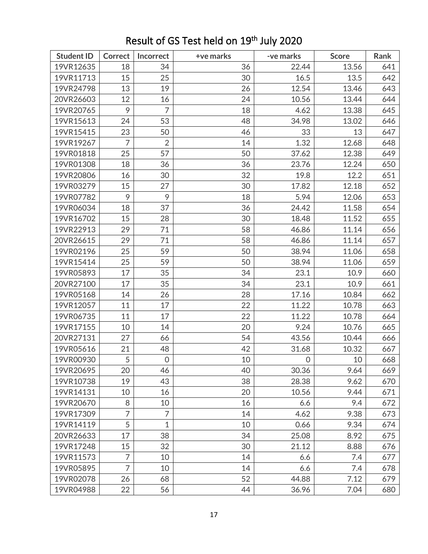| <b>Student ID</b> | <b>Correct</b> | Incorrect      | +ve marks | -ve marks | <b>Score</b> | Rank |
|-------------------|----------------|----------------|-----------|-----------|--------------|------|
| 19VR12635         | 18             | 34             | 36        | 22.44     | 13.56        | 641  |
| 19VR11713         | 15             | 25             | 30        | 16.5      | 13.5         | 642  |
| 19VR24798         | 13             | 19             | 26        | 12.54     | 13.46        | 643  |
| 20VR26603         | 12             | 16             | 24        | 10.56     | 13.44        | 644  |
| 19VR20765         | 9              | $\overline{7}$ | 18        | 4.62      | 13.38        | 645  |
| 19VR15613         | 24             | 53             | 48        | 34.98     | 13.02        | 646  |
| 19VR15415         | 23             | 50             | 46        | 33        | 13           | 647  |
| 19VR19267         | $\overline{7}$ | $\overline{2}$ | 14        | 1.32      | 12.68        | 648  |
| 19VR01818         | 25             | 57             | 50        | 37.62     | 12.38        | 649  |
| 19VR01308         | 18             | 36             | 36        | 23.76     | 12.24        | 650  |
| 19VR20806         | 16             | 30             | 32        | 19.8      | 12.2         | 651  |
| 19VR03279         | 15             | 27             | 30        | 17.82     | 12.18        | 652  |
| 19VR07782         | 9              | 9              | 18        | 5.94      | 12.06        | 653  |
| 19VR06034         | 18             | 37             | 36        | 24.42     | 11.58        | 654  |
| 19VR16702         | 15             | 28             | 30        | 18.48     | 11.52        | 655  |
| 19VR22913         | 29             | 71             | 58        | 46.86     | 11.14        | 656  |
| 20VR26615         | 29             | 71             | 58        | 46.86     | 11.14        | 657  |
| 19VR02196         | 25             | 59             | 50        | 38.94     | 11.06        | 658  |
| 19VR15414         | 25             | 59             | 50        | 38.94     | 11.06        | 659  |
| 19VR05893         | 17             | 35             | 34        | 23.1      | 10.9         | 660  |
| 20VR27100         | 17             | 35             | 34        | 23.1      | 10.9         | 661  |
| 19VR05168         | 14             | 26             | 28        | 17.16     | 10.84        | 662  |
| 19VR12057         | 11             | 17             | 22        | 11.22     | 10.78        | 663  |
| 19VR06735         | 11             | 17             | 22        | 11.22     | 10.78        | 664  |
| 19VR17155         | 10             | 14             | 20        | 9.24      | 10.76        | 665  |
| 20VR27131         | 27             | 66             | 54        | 43.56     | 10.44        | 666  |
| 19VR05616         | 21             | 48             | 42        | 31.68     | 10.32        | 667  |
| 19VR00930         | 5              | $\mathbf 0$    | 10        | 0         | 10           | 668  |
| 19VR20695         | 20             | 46             | 40        | 30.36     | 9.64         | 669  |
| 19VR10738         | 19             | 43             | 38        | 28.38     | 9.62         | 670  |
| 19VR14131         | 10             | 16             | 20        | 10.56     | 9.44         | 671  |
| 19VR20670         | 8              | 10             | 16        | 6.6       | 9.4          | 672  |
| 19VR17309         | $\overline{7}$ | $\overline{7}$ | 14        | 4.62      | 9.38         | 673  |
| 19VR14119         | 5              | $\mathbf{1}$   | 10        | 0.66      | 9.34         | 674  |
| 20VR26633         | 17             | 38             | 34        | 25.08     | 8.92         | 675  |
| 19VR17248         | 15             | 32             | 30        | 21.12     | 8.88         | 676  |
| 19VR11573         | 7              | 10             | 14        | 6.6       | 7.4          | 677  |
| 19VR05895         | 7              | 10             | 14        | 6.6       | 7.4          | 678  |
| 19VR02078         | 26             | 68             | 52        | 44.88     | 7.12         | 679  |
| 19VR04988         | 22             | 56             | 44        | 36.96     | 7.04         | 680  |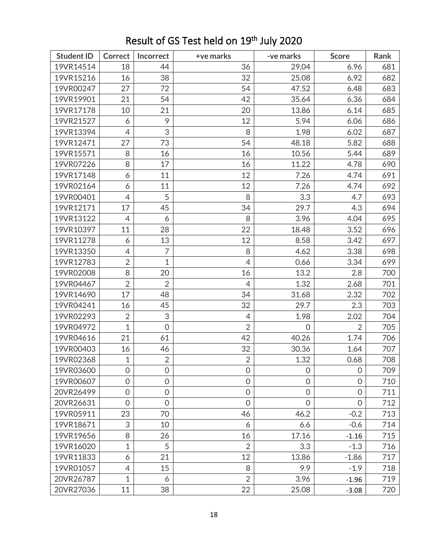| <b>Student ID</b> | <b>Correct</b> | Incorrect      | +ve marks      | -ve marks      | <b>Score</b>   | Rank |
|-------------------|----------------|----------------|----------------|----------------|----------------|------|
| 19VR14514         | 18             | 44             | 36             | 29.04          | 6.96           | 681  |
| 19VR15216         | 16             | 38             | 32             | 25.08          | 6.92           | 682  |
| 19VR00247         | 27             | 72             | 54             | 47.52          | 6.48           | 683  |
| 19VR19901         | 21             | 54             | 42             | 35.64          | 6.36           | 684  |
| 19VR17178         | 10             | 21             | 20             | 13.86          | 6.14           | 685  |
| 19VR21527         | 6              | 9              | 12             | 5.94           | 6.06           | 686  |
| 19VR13394         | 4              | 3              | 8              | 1.98           | 6.02           | 687  |
| 19VR12471         | 27             | 73             | 54             | 48.18          | 5.82           | 688  |
| 19VR15571         | 8              | 16             | 16             | 10.56          | 5.44           | 689  |
| 19VR07226         | 8              | 17             | 16             | 11.22          | 4.78           | 690  |
| 19VR17148         | 6              | 11             | 12             | 7.26           | 4.74           | 691  |
| 19VR02164         | 6              | 11             | 12             | 7.26           | 4.74           | 692  |
| 19VR00401         | $\overline{4}$ | 5              | 8              | 3.3            | 4.7            | 693  |
| 19VR12171         | 17             | 45             | 34             | 29.7           | 4.3            | 694  |
| 19VR13122         | 4              | 6              | 8              | 3.96           | 4.04           | 695  |
| 19VR10397         | 11             | 28             | 22             | 18.48          | 3.52           | 696  |
| 19VR11278         | 6              | 13             | 12             | 8.58           | 3.42           | 697  |
| 19VR13350         | 4              | $\overline{7}$ | 8              | 4.62           | 3.38           | 698  |
| 19VR12783         | $\overline{2}$ | $\mathbf 1$    | 4              | 0.66           | 3.34           | 699  |
| 19VR02008         | 8              | 20             | 16             | 13.2           | 2.8            | 700  |
| 19VR04467         | $\overline{2}$ | $\overline{2}$ | $\overline{4}$ | 1.32           | 2.68           | 701  |
| 19VR14690         | 17             | 48             | 34             | 31.68          | 2.32           | 702  |
| 19VR04241         | 16             | 45             | 32             | 29.7           | 2.3            | 703  |
| 19VR02293         | $\overline{2}$ | 3              | $\overline{4}$ | 1.98           | 2.02           | 704  |
| 19VR04972         | $\mathbf{1}$   | $\mathbf 0$    | $\overline{2}$ | 0              | $\overline{2}$ | 705  |
| 19VR04616         | 21             | 61             | 42             | 40.26          | 1.74           | 706  |
| 19VR00403         | 16             | 46             | 32             | 30.36          | 1.64           | 707  |
| 19VR02368         | $\mathbf{1}$   | $\overline{2}$ | $\overline{2}$ | 1.32           | 0.68           | 708  |
| 19VR03600         | $\mathbf 0$    | $\overline{0}$ | $\overline{0}$ | 0              | $\mathbf 0$    | 709  |
| 19VR00607         | $\mathbf 0$    | $\mathbf 0$    | $\mathbf 0$    | $\overline{0}$ | $\overline{0}$ | 710  |
| 20VR26499         | $\mathbf 0$    | $\mathbf 0$    | $\mathbf 0$    | $\overline{0}$ | $\overline{0}$ | 711  |
| 20VR26631         | $\overline{0}$ | $\overline{0}$ | $\overline{O}$ | $\overline{0}$ | $\overline{0}$ | 712  |
| 19VR05911         | 23             | 70             | 46             | 46.2           | $-0.2$         | 713  |
| 19VR18671         | 3              | 10             | 6              | 6.6            | $-0.6$         | 714  |
| 19VR19656         | 8              | 26             | 16             | 17.16          | $-1.16$        | 715  |
| 19VR16020         | $\mathbf{1}$   | 5              | $\overline{2}$ | 3.3            | $-1.3$         | 716  |
| 19VR11833         | 6              | 21             | 12             | 13.86          | $-1.86$        | 717  |
| 19VR01057         | 4              | 15             | 8              | 9.9            | $-1.9$         | 718  |
| 20VR26787         | $\mathbf{1}$   | 6              | $\overline{2}$ | 3.96           | $-1.96$        | 719  |
| 20VR27036         | 11             | 38             | 22             | 25.08          | $-3.08$        | 720  |